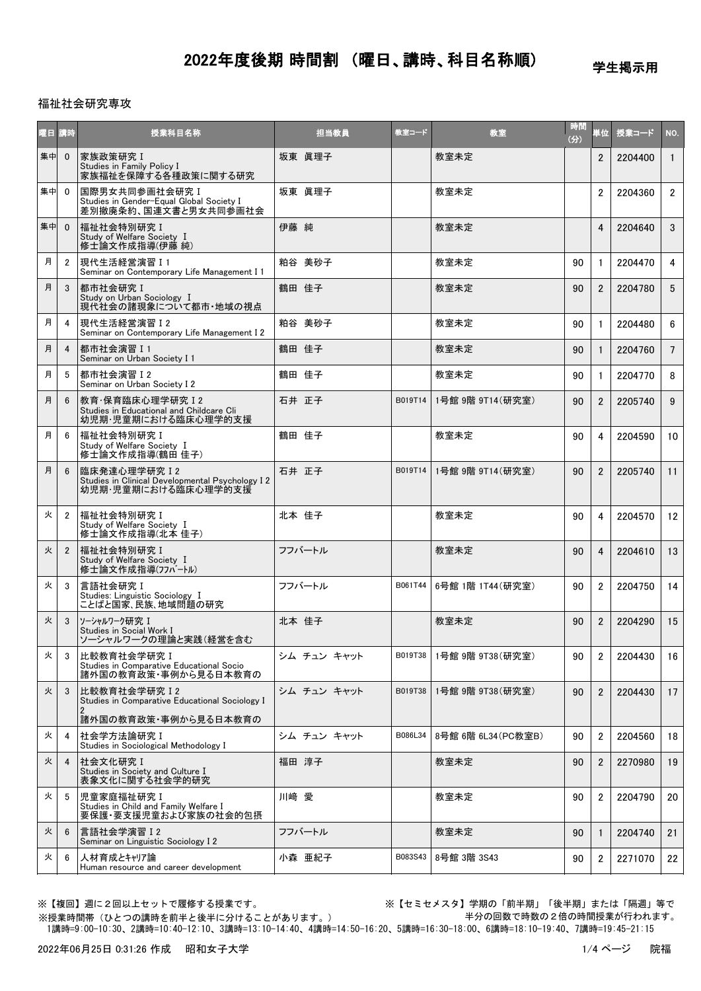学生掲示用

#### 福祉社会研究専攻

| 曜日 | 講時             | 授業科目名称                                                                                   | 担当教員        | 教室コード   | 教室                  | 時間<br>(分) | 単位             | 授業コード   | NO.            |
|----|----------------|------------------------------------------------------------------------------------------|-------------|---------|---------------------|-----------|----------------|---------|----------------|
| 集中 | $\mathbf{0}$   | 家族政策研究 I<br>Studies in Family Policy I<br>家族福祉を保障する各種政策に関する研究                            | 坂東 眞理子      |         | 教室未定                |           | $\overline{2}$ | 2204400 | $\mathbf{1}$   |
| 集中 | $\Omega$       | 国際男女共同参画社会研究 I<br>Studies in Gender-Equal Global Society I<br>差別撤廃条約、国連文書と男女共同参画社会       | 坂東 眞理子      |         | 教室未定                |           | $\overline{2}$ | 2204360 | $\overline{2}$ |
| 集中 | $\Omega$       | 福祉社会特別研究 I<br>Study of Welfare Society I<br>修士論文作成指導(伊藤 純)                               | 伊藤 純        |         | 教室未定                |           | $\overline{4}$ | 2204640 | 3              |
| 月  | $\overline{2}$ | 現代生活経営演習 I 1<br>Seminar on Contemporary Life Management I 1                              | 粕谷 美砂子      |         | 教室未定                | 90        | $\mathbf{1}$   | 2204470 | 4              |
| 月  | 3              | 都市社会研究 I<br>Study on Urban Sociology I<br>現代社会の諸現象について都市・地域の視点                           | 鶴田 佳子       |         | 教室未定                | 90        | $\overline{2}$ | 2204780 | 5              |
| 月  | 4              | 現代生活経営演習 I 2<br>Seminar on Contemporary Life Management I 2                              | 粕谷 美砂子      |         | 教室未定                | 90        | $\mathbf{1}$   | 2204480 | 6              |
| 月  | 4              | 都市社会演習 I 1<br>Seminar on Urban Society I 1                                               | 鶴田 佳子       |         | 教室未定                | 90        | $\mathbf{1}$   | 2204760 | $7^{\circ}$    |
| 月  | 5              | 都市社会演習 I 2<br>Seminar on Urban Society I 2                                               | 鶴田 佳子       |         | 教室未定                | 90        | $\mathbf{1}$   | 2204770 | 8              |
| 月  | 6              | 教育·保育臨床心理学研究 I 2<br>Studies in Educational and Childcare Cli<br>幼児期・児童期における臨床心理学的支援      | 石井 正子       | B019T14 | 1号館 9階 9T14(研究室)    | 90        | $\overline{2}$ | 2205740 | 9              |
| 月  | 6              | 福祉社会特別研究 I<br>Study of Welfare Society I<br>修士論文作成指導(鶴田 佳子)                              | 鶴田 佳子       |         | 教室未定                | 90        | 4              | 2204590 | 10             |
| 月  | 6              | 臨床発達心理学研究 I 2<br>Studies in Clinical Developmental Psychology I 2<br>幼児期·児童期における臨床心理学的支援 | 石井 正子       | B019T14 | 1号館 9階 9T14 (研究室)   | 90        | $\overline{2}$ | 2205740 | 11             |
| 火  | 2              | 福祉社会特別研究 I<br>Study of Welfare Society I<br>修士論文作成指導(北本 佳子)                              | 北本 佳子       |         | 教室未定                | 90        | 4              | 2204570 | 12             |
| 火  | $\overline{2}$ | 福祉社会特別研究 I<br>Study of Welfare Society I<br>修士論文作成指導(フフバートル)                             | フフバートル      |         | 教室未定                | 90        | $\overline{4}$ | 2204610 | 13             |
| 火  | 3              | 言語社会研究 I<br>Studies: Linguistic Sociology I<br>ことばと国家、民族、地域問題の研究                         | フフバートル      | B061T44 | 6号館 1階 1T44 (研究室)   | 90        | $\overline{2}$ | 2204750 | 14             |
| 火  | 3              | ソーシャルワーク研究 I<br>Studies in Social Work I<br>ソーシャルワークの理論と実践(経営を含む                         | 北本 佳子       |         | 教室未定                | 90        | $\overline{2}$ | 2204290 | 15             |
| 火  | 3              | 比較教育社会学研究 I<br>Studies in Comparative Educational Socio<br>諸外国の教育政策・事例から見る日本教育の          | シム チュン キャット | B019T38 | 1号館 9階 9T38(研究室)    | 90        | 2              | 2204430 | 16             |
| 火  | 3              | 比較教育社会学研究 I 2<br>Studies in Comparative Educational Sociology I<br>2                     | シム チュン キャット | B019T38 | 1号館 9階 9T38(研究室)    | 90        | $\overline{2}$ | 2204430 | 17             |
|    |                | 諸外国の教育政策・事例から見る日本教育の                                                                     |             |         |                     |           |                |         |                |
| 火  | 4              | 社会学方法論研究 I<br>Studies in Sociological Methodology I                                      | シム チュン キャット | B086L34 | 8号館 6階 6L34 (PC教室B) | 90        | $\overline{2}$ | 2204560 | 18             |
| 火  | 4              | 社会文化研究 I<br>Studies in Society and Culture I<br>表象文化に関する社会学的研究                           | 福田 淳子       |         | 教室未定                | 90        | $\overline{2}$ | 2270980 | 19             |
| 火  | 5              | 児童家庭福祉研究 I<br>Studies in Child and Family Welfare I<br>要保護・要支援児童および家族の社会的包摂              | 川﨑 愛        |         | 教室未定                | 90        | $\overline{2}$ | 2204790 | 20             |
| 火  | 6              | 言語社会学演習 I 2<br>Seminar on Linguistic Sociology I 2                                       | フフバートル      |         | 教室未定                | 90        | $\mathbf{1}$   | 2204740 | 21             |
| 火  | 6              | 人材育成とキャリア論<br>Human resource and career development                                      | 小森 亜紀子      | B083S43 | 8号館 3階 3S43         | 90        | $\overline{2}$ | 2271070 | 22             |

※授業時間帯(ひとつの講時を前半と後半に分けることがあります。)

※【複回】週に2回以上セットで履修する授業です。 ※【セミセメスタ】学期の「前半期」「後半期」または「隔週」等で 半分の回数で時数の2倍の時間授業が行われます。

1講時=9:00-10:30、2講時=10:40-12:10、3講時=13:10-14:40、4講時=14:50-16:20、5講時=16:30-18:00、6講時=18:10-19:40、7講時=19:45-21:15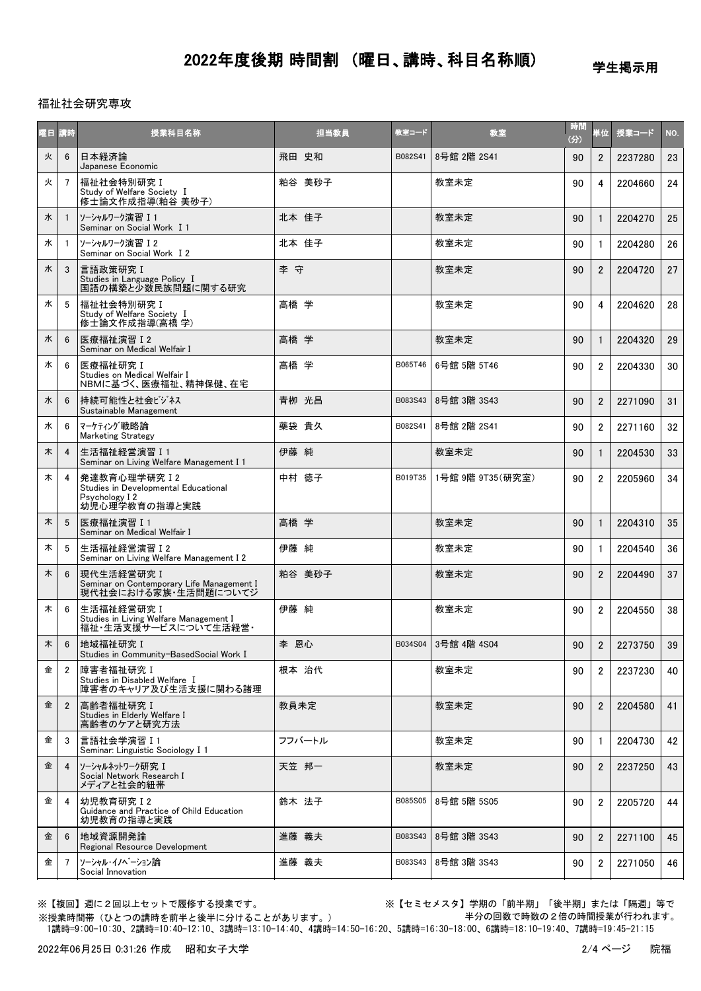学生掲示用

### 福祉社会研究専攻

| 阳目 | 請時             | 授業科目名称                                                                                   | 担当教員   | 教室コード   | 教室                  | 時間<br>(分) | 単位             | 授業コード   | NO. |
|----|----------------|------------------------------------------------------------------------------------------|--------|---------|---------------------|-----------|----------------|---------|-----|
| 火  | 6              | 日本経済論<br>Japanese Economic                                                               | 飛田 史和  | B082S41 | 8号館 2階 2S41         | 90        | $\overline{2}$ | 2237280 | 23  |
| 火  | $\overline{7}$ | 福祉社会特別研究 I<br>Study of Welfare Society I<br>修士論文作成指導(粕谷 美砂子)                             | 粕谷 美砂子 |         | 教室未定                | 90        | 4              | 2204660 | 24  |
| 水  | $\mathbf{1}$   | ソーシャルワーク演習 I1<br>Seminar on Social Work I 1                                              | 北本 佳子  |         | 教室未定                | 90        | $\mathbf{1}$   | 2204270 | 25  |
| 水  |                | ソーシャルワーク演習 I2<br>Seminar on Social Work I 2                                              | 北本 佳子  |         | 教室未定                | 90        | 1              | 2204280 | 26  |
| 水  | 3              | 言語政策研究 I<br>Studies in Language Policy I<br>国語の構築と少数民族問題に関する研究                           | 李 守    |         | 教室未定                | 90        | $\overline{2}$ | 2204720 | 27  |
| 水  | 5              | 福祉社会特別研究 I<br>Study of Welfare Society I<br>修士論文作成指導(高橋 学)                               | 高橋 学   |         | 教室未定                | 90        | 4              | 2204620 | 28  |
| 水  | 6              | 医療福祉演習 I 2<br>Seminar on Medical Welfair I                                               | 高橋 学   |         | 教室未定                | 90        | $\mathbf{1}$   | 2204320 | 29  |
| 水  | 6              | 医療福祉研究I<br>Studies on Medical Welfair I<br>NBMに基づく、医療福祉、精神保健、在宅                          | 高橋 学   | B065T46 | 6号館 5階 5T46         | 90        | $\overline{2}$ | 2204330 | 30  |
| 水  | 6              | 持続可能性と社会ビジネス<br>Sustainable Management                                                   | 青栁 光昌  | B083S43 | 8号館 3階 3S43         | 90        | $\overline{2}$ | 2271090 | 31  |
| 水  | 6              | マーケティング戦略論<br><b>Marketing Strategy</b>                                                  | 藥袋 貴久  | B082S41 | 8号館 2階 2S41         | 90        | $\overline{2}$ | 2271160 | 32  |
| 木  | 4              | 生活福祉経営演習 I 1<br>Seminar on Living Welfare Management I 1                                 | 伊藤 純   |         | 教室未定                | 90        | $\mathbf{1}$   | 2204530 | 33  |
| 木  | 4              | 発達教育心理学研究 I 2<br>Studies in Developmental Educational<br>Psychology I 2<br>幼児心理学教育の指導と実践 | 中村 徳子  | B019T35 | 1号館 9階 9T35(研究室)    | 90        | $\overline{2}$ | 2205960 | 34  |
| 木  | 5              | 医療福祉演習 I 1<br>Seminar on Medical Welfair I                                               | 高橋 学   |         | 教室未定                | 90        | $\mathbf{1}$   | 2204310 | 35  |
| 木  | 5              | 生活福祉経営演習 I2<br>Seminar on Living Welfare Management I 2                                  | 伊藤 純   |         | 教室未定                | 90        | $\mathbf{1}$   | 2204540 | 36  |
| 木  | $6\phantom{1}$ | 現代生活経営研究 I<br>Seminar on Contemporary Life Management I<br>現代社会における家族・生活問題についてジ          | 粕谷 美砂子 |         | 教室未定                | 90        | $\overline{2}$ | 2204490 | 37  |
| 木  | 6              | 生活福祉経営研究 I<br>Studies in Living Welfare Management I<br>福祉・生活支援サービスについて生活経営・             | 伊藤 純   |         | 教室未定                | 90        | $\overline{2}$ | 2204550 | 38  |
| 木  | 6              | 地域福祉研究 I<br>Studies in Community-BasedSocial Work I                                      | 李 恩心   |         | B034S04 3号館 4階 4S04 | 90        | $\overline{2}$ | 2273750 | 39  |
| 金  | $\overline{2}$ | 障害者福祉研究 I<br>Studies in Disabled Welfare I<br>障害者のキャリア及び生活支援に関わる諸理                       | 根本 治代  |         | 教室未定                | 90        | $\overline{2}$ | 2237230 | 40  |
| 金  | $\overline{2}$ | 高齢者福祉研究 I<br>Studies in Elderly Welfare I<br>高齢者のケアと研究方法                                 | 教員未定   |         | 教室未定                | 90        | $\overline{2}$ | 2204580 | 41  |
| 金  | 3              | 言語社会学演習 I 1<br>Seminar: Linguistic Sociology I 1                                         | フフバートル |         | 教室未定                | 90        | $\mathbf{1}$   | 2204730 | 42  |
| 金  | $\overline{4}$ | ソーシャルネットワーク研究 I<br>Social Network Research I<br>メディアと社会的紐帯                               | 天笠 邦一  |         | 教室未定                | 90        | $\overline{2}$ | 2237250 | 43  |
| 金  | 4              | 幼児教育研究 I 2<br>Guidance and Practice of Child Education<br>幼児教育の指導と実践                     | 鈴木 法子  | B085S05 | 8号館 5階 5S05         | 90        | $\overline{2}$ | 2205720 | 44  |
| 金  | 6              | 地域資源開発論<br>Regional Resource Development                                                 | 進藤 義夫  | B083S43 | 8号館 3階 3S43         | 90        | $\overline{2}$ | 2271100 | 45  |
| 金  | $\overline{7}$ | ソーシャル・イノベーション論<br>Social Innovation                                                      | 進藤 義夫  | B083S43 | 8号館 3階 3S43         | 90        | $\overline{2}$ | 2271050 | 46  |

※【複回】週に2回以上セットで履修する授業です。 ※【セミセメスタ】学期の「前半期」「後半期」または「隔週」等で 半分の回数で時数の2倍の時間授業が行われます。

 1講時=9:00-10:30、2講時=10:40-12:10、3講時=13:10-14:40、4講時=14:50-16:20、5講時=16:30-18:00、6講時=18:10-19:40、7講時=19:45-21:15 ※授業時間帯(ひとつの講時を前半と後半に分けることがあります。)

2022年06月25日 0:31:26 作成 昭和女子大学 2022年06月25日 2:4ページ 院福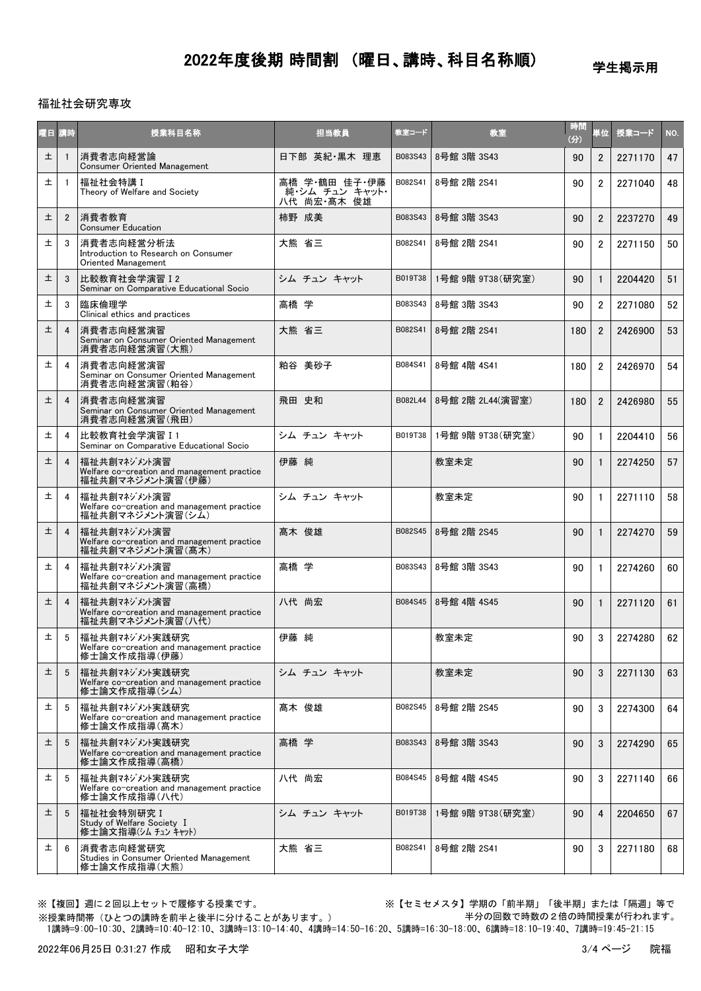学生掲示用

### 福祉社会研究専攻

|   | 曜日 講時          | 授業科目名称                                                                          | 担当教員                                             | 教室コード   | 教室               | 時間<br>(分) | 単位             | 授業コード   | NO. |
|---|----------------|---------------------------------------------------------------------------------|--------------------------------------------------|---------|------------------|-----------|----------------|---------|-----|
| 土 |                | 消費者志向経営論<br>Consumer Oriented Management                                        | 日下部 英紀·黒木 理恵                                     | B083S43 | 8号館 3階 3S43      | 90        | $\overline{2}$ | 2271170 | 47  |
| 土 |                | 福祉社会特講 I<br>Theory of Welfare and Society                                       | 高橋 学・鶴田 佳子・伊藤<br>- 純・シム チュン キャット・<br>八代 尚宏・髙木 俊雄 | B082S41 | 8号館 2階 2S41      | 90        | $\overline{2}$ | 2271040 | 48  |
| 土 | $\mathbf{2}$   | 消費者教育<br><b>Consumer Education</b>                                              | 柿野 成美                                            | B083S43 | 8号館 3階 3S43      | 90        | $\overline{2}$ | 2237270 | 49  |
| 土 | 3              | 消費者志向経営分析法<br>Introduction to Research on Consumer<br>Oriented Management       | 大熊 省三                                            | B082S41 | 8号館 2階 2S41      | 90        | $\overline{2}$ | 2271150 | 50  |
| 土 | 3              | 比較教育社会学演習 I 2<br>Seminar on Comparative Educational Socio                       | シム チュン キャット                                      | B019T38 | 1号館 9階 9T38(研究室) | 90        | $\mathbf{1}$   | 2204420 | 51  |
| 土 | 3              | 臨床倫理学<br>Clinical ethics and practices                                          | 高橋 学                                             | B083S43 | 8号館 3階 3S43      | 90        | $\overline{2}$ | 2271080 | 52  |
| 土 | 4              | 消費者志向経営演習<br>Seminar on Consumer Oriented Management<br>消費者志向経営演習(大熊)           | 大熊 省三                                            | B082S41 | 8号館 2階 2S41      | 180       | $\overline{2}$ | 2426900 | 53  |
| 土 | 4              | 消費者志向経営演習<br>Seminar on Consumer Oriented Management<br>消費者志向経営演習(粕谷)           | 粕谷 美砂子                                           | B084S41 | 8号館 4階 4S41      | 180       | $\overline{2}$ | 2426970 | 54  |
| 土 | 4              | 消費者志向経営演習<br>Seminar on Consumer Oriented Management<br>消費者志向経営演習(飛田)           | 飛田 史和                                            | B082L44 | 8号館 2階 2L44(演習室) | 180       | $\overline{2}$ | 2426980 | 55  |
| 土 | $\overline{4}$ | 比較教育社会学演習 I 1<br>Seminar on Comparative Educational Socio                       | シム チュン キャット                                      | B019T38 | 1号館 9階 9T38(研究室) | 90        | $\mathbf{1}$   | 2204410 | 56  |
| 土 | 4              | 福祉共創マネジメント演習<br>Welfare co-creation and management practice<br>福祉共創マネジメント演習(伊藤) | 伊藤 純                                             |         | 教室未定             | 90        | $\mathbf{1}$   | 2274250 | 57  |
| 土 | 4              | 福祉共創マネジメント演習<br>Welfare co-creation and management practice<br>福祉共創マネジメント演習(シム) | シム チュン キャット                                      |         | 教室未定             | 90        | $\mathbf{1}$   | 2271110 | 58  |
| 土 | $\overline{4}$ | 福祉共創マネジメント演習<br>Welfare co-creation and management practice<br>福祉共創マネジメント演習(高木) | 髙木 俊雄                                            | B082S45 | 8号館 2階 2S45      | 90        | $\mathbf{1}$   | 2274270 | 59  |
| 土 | 4              | 福祉共創マネジメント演習<br>Welfare co-creation and management practice<br>福祉共創マネジメント演習(高橋) | 高橋 学                                             | B083S43 | 8号館 3階 3S43      | 90        | $\mathbf{1}$   | 2274260 | 60  |
| 土 | 4              | 福祉共創マネジメン演習<br>Welfare co-creation and management practice<br>福祉共創マネジメント演習(八代)  | 八代 尚宏                                            | B084S45 | 8号館 4階 4S45      | 90        | $\mathbf{1}$   | 2271120 | 61  |
| 土 | 5              | 福祉共創マネジメン実践研究<br>Welfare co-creation and management practice<br>修士論文作成指導(伊藤)    | 伊藤 純                                             |         | 教室未定             | 90        | 3              | 2274280 | 62  |
| 土 | 5              | 福祉共創マネジメン実践研究<br>Welfare co-creation and management practice<br>修士論文作成指導(シム)    | シム チュン キャット                                      |         | 教室未定             | 90        | 3              | 2271130 | 63  |
| 土 | 5              | 福祉共創マネジメン実践研究<br>Welfare co-creation and management practice<br>修士論文作成指導(髙木)    | 髙木 俊雄                                            | B082S45 | 8号館 2階 2S45      | 90        | 3              | 2274300 | 64  |
| 土 | 5              | 福祉共創マネジメン実践研究<br>Welfare co-creation and management practice<br>修士論文作成指導(高橋)    | 高橋 学                                             | B083S43 | 8号館 3階 3S43      | 90        | 3              | 2274290 | 65  |
| 土 | 5              | 福祉共創マネジメント実践研究<br>Welfare co-creation and management practice<br>修士論文作成指導(八代)   | 八代 尚宏                                            | B084S45 | 8号館 4階 4S45      | 90        | 3              | 2271140 | 66  |
| 土 | 5              | 福祉社会特別研究 I<br>Study of Welfare Society I<br>修士論文指導(シム チュン キャット)                 | シム チュン キャット                                      | B019T38 | 1号館 9階 9T38(研究室) | 90        | 4              | 2204650 | 67  |
| 土 | 6              | 消費者志向経営研究<br>Studies in Consumer Oriented Management<br>修士論文作成指導(大熊)            | 大熊 省三                                            | B082S41 | 8号館 2階 2S41      | 90        | 3              | 2271180 | 68  |

※【複回】週に2回以上セットで履修する授業です。 アンチンススコン ※【セミセメスタ】学期の「前半期」「後半期」または「隔週」等で 半分の回数で時数の2倍の時間授業が行われます。

 1講時=9:00-10:30、2講時=10:40-12:10、3講時=13:10-14:40、4講時=14:50-16:20、5講時=16:30-18:00、6講時=18:10-19:40、7講時=19:45-21:15 ※授業時間帯(ひとつの講時を前半と後半に分けることがあります。)

2022年06月25日 0:31:27 作成 昭和女子大学 3/4 ページ 現福